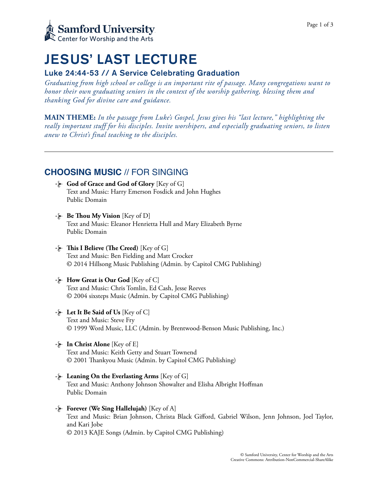

# JESUS' LAST LECTURE

## Luke 24:44-53 // A Service Celebrating Graduation

*Graduating from high school or college is an important rite of passage. Many congregations want to honor their own graduating seniors in the context of the worship gathering, blessing them and thanking God for divine care and guidance.* 

**MAIN THEME:** *In the passage from Luke's Gospel, Jesus gives his "last lecture," highlighting the really important stuff for his disciples. Invite worshipers, and especially graduating seniors, to listen anew to Christ's final teaching to the disciples.*

# **CHOOSING MUSIC** // FOR SINGING

- **God of Grace and God of Glory** [Key of G] Text and Music: Harry Emerson Fosdick and John Hughes Public Domain
- **Be Thou My Vision** [Key of D] Text and Music: Eleanor Henrietta Hull and Mary Elizabeth Byrne Public Domain
- $\cdot$  **This I Believe (The Creed)** [Key of G] Text and Music: Ben Fielding and Matt Crocker © 2014 Hillsong Music Publishing (Admin. by Capitol CMG Publishing)
- **How Great is Our God** [Key of C] Text and Music: Chris Tomlin, Ed Cash, Jesse Reeves © 2004 sixsteps Music (Admin. by Capitol CMG Publishing)
- **Let It Be Said of Us** [Key of C] Text and Music: Steve Fry © 1999 Word Music, LLC (Admin. by Brentwood-Benson Music Publishing, Inc.)
- **In Christ Alone** [Key of E] Text and Music: Keith Getty and Stuart Townend © 2001 Tankyou Music (Admin. by Capitol CMG Publishing)
- **Leaning On the Everlasting Arms** [Key of G] Text and Music: Anthony Johnson Showalter and Elisha Albright Hoffman Public Domain
- **Forever (We Sing Hallelujah)** [Key of A] Text and Music: Brian Johnson, Christa Black Gifford, Gabriel Wilson, Jenn Johnson, Joel Taylor, and Kari Jobe © 2013 KAJE Songs (Admin. by Capitol CMG Publishing)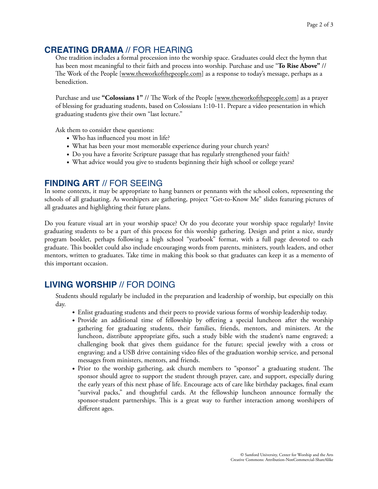# **CREATING DRAMA** // FOR HEARING

One tradition includes a formal procession into the worship space. Graduates could elect the hymn that has been most meaningful to their faith and process into worship. Purchase and use "**To Rise Above"** // The Work of the People [[www.theworkofthepeople.com\]](http://www.theworkofthepeople.com) as a response to today's message, perhaps as a benediction.

Purchase and use "**Colossians 1"** // The Work of the People [\[www.theworkofthepeople.com\]](http://www.theworkofthepeople.com) as a prayer of blessing for graduating students, based on Colossians 1:10-11. Prepare a video presentation in which graduating students give their own "last lecture."

Ask them to consider these questions:

- Who has influenced you most in life?
- What has been your most memorable experience during your church years?
- Do you have a favorite Scripture passage that has regularly strengthened your faith?
- What advice would you give to students beginning their high school or college years?

## **FINDING ART** // FOR SEEING

In some contexts, it may be appropriate to hang banners or pennants with the school colors, representing the schools of all graduating. As worshipers are gathering, project "Get-to-Know Me" slides featuring pictures of all graduates and highlighting their future plans.

Do you feature visual art in your worship space? Or do you decorate your worship space regularly? Invite graduating students to be a part of this process for this worship gathering. Design and print a nice, sturdy program booklet, perhaps following a high school "yearbook" format, with a full page devoted to each graduate. Tis booklet could also include encouraging words from parents, ministers, youth leaders, and other mentors, written to graduates. Take time in making this book so that graduates can keep it as a memento of this important occasion.

# **LIVING WORSHIP** // FOR DOING

Students should regularly be included in the preparation and leadership of worship, but especially on this day.

- Enlist graduating students and their peers to provide various forms of worship leadership today.
- Provide an additional time of fellowship by offering a special luncheon after the worship gathering for graduating students, their families, friends, mentors, and ministers. At the luncheon, distribute appropriate gifts, such a study bible with the student's name engraved; a challenging book that gives them guidance for the future; special jewelry with a cross or engraving; and a USB drive containing video files of the graduation worship service, and personal messages from ministers, mentors, and friends.
- Prior to the worship gathering, ask church members to "sponsor" a graduating student. The sponsor should agree to support the student through prayer, care, and support, especially during the early years of this next phase of life. Encourage acts of care like birthday packages, final exam "survival packs," and thoughtful cards. At the fellowship luncheon announce formally the sponsor-student partnerships. Tis is a great way to further interaction among worshipers of different ages.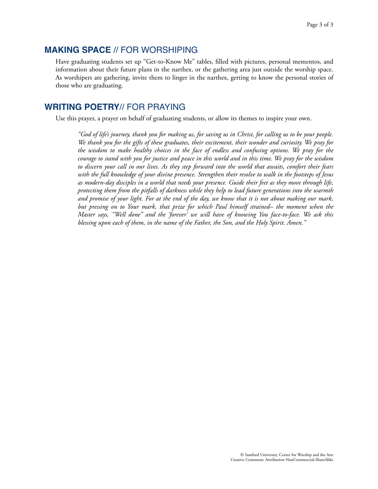## **MAKING SPACE** // FOR WORSHIPING

Have graduating students set up "Get-to-Know Me" tables, filled with pictures, personal mementos, and information about their future plans in the narthex, or the gathering area just outside the worship space. As worshipers are gathering, invite them to linger in the narthex, getting to know the personal stories of those who are graduating.

## **WRITING POETRY**// FOR PRAYING

Use this prayer, a prayer on behalf of graduating students, or allow its themes to inspire your own.

*"God of life's journey, thank you for making us, for saving us in Christ, for calling us to be your people. We thank you for the gifts of these graduates, their excitement, their wonder and curiosity. We pray for the wisdom to make healthy choices in the face of endless and confusing options. We pray for the courage to stand with you for justice and peace in this world and in this time. We pray for the wisdom to discern your call in our lives. As they step forward into the world that awaits, comfort their fears with the full knowledge of your divine presence. Strengthen their resolve to walk in the footsteps of Jesus as modern-day disciples in a world that needs your presence. Guide their feet as they move through life, protecting them from the pitfalls of darkness while they help to lead future generations into the warmth and promise of your light. For at the end of the day, we know that it is not about making our mark, but pressing on to Your mark, that prize for which Paul himself strained– the moment when the Master says, "Well done" and the 'forever' we will have of knowing You face-to-face. We ask this blessing upon each of them, in the name of the Father, the Son, and the Holy Spirit. Amen."*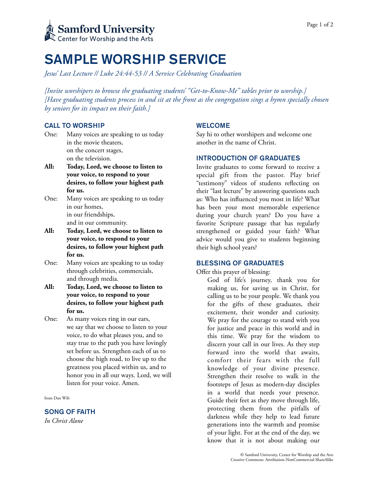

# SAMPLE WORSHIP SERVICE

*Jesus' Last Lecture // Luke 24:44-53 // A Service Celebrating Graduation* 

*[Invite worshipers to browse the graduating students' "Get-to-Know-Me" tables prior to worship.] [Have graduating students process in and sit at the front as the congregation sings a hymn specially chosen by seniors for its impact on their faith.]* 

## CALL TO WORSHIP

- One: Many voices are speaking to us today in the movie theaters, on the concert stages, on the television.
- **All: Today, Lord, we choose to listen to your voice, to respond to your desires, to follow your highest path for us.**
- One: Many voices are speaking to us today in our homes, in our friendships, and in our community.
- **All: Today, Lord, we choose to listen to your voice, to respond to your desires, to follow your highest path for us.**
- One: Many voices are speaking to us today through celebrities, commercials, and through media.
- **All: Today, Lord, we choose to listen to your voice, to respond to your desires, to follow your highest path for us.**
- One: As many voices ring in our ears, we say that we choose to listen to your voice, to do what pleases you, and to stay true to the path you have lovingly set before us. Strengthen each of us to choose the high road, to live up to the greatness you placed within us, and to honor you in all our ways. Lord, we will listen for your voice. Amen.

from Dan Wilt

SONG OF FAITH

*In Christ Alone* 

## WELCOME

Say hi to other worshipers and welcome one another in the name of Christ.

#### INTRODUCTION OF GRADUATES

Invite graduates to come forward to receive a special gift from the pastor. Play brief "testimony" videos of students reflecting on their "last lecture" by answering questions such as: Who has influenced you most in life? What has been your most memorable experience during your church years? Do you have a favorite Scripture passage that has regularly strengthened or guided your faith? What advice would you give to students beginning their high school years?

#### BLESSING OF GRADUATES

Offer this prayer of blessing:

God of life's journey, thank you for making us, for saving us in Christ, for calling us to be your people. We thank you for the gifts of these graduates, their excitement, their wonder and curiosity. We pray for the courage to stand with you for justice and peace in this world and in this time. We pray for the wisdom to discern your call in our lives. As they step forward into the world that awaits, comfort their fears with the full knowledge of your divine presence. Strengthen their resolve to walk in the footsteps of Jesus as modern-day disciples in a world that needs your presence. Guide their feet as they move through life, protecting them from the pitfalls of darkness while they help to lead future generations into the warmth and promise of your light. For at the end of the day, we know that it is not about making our